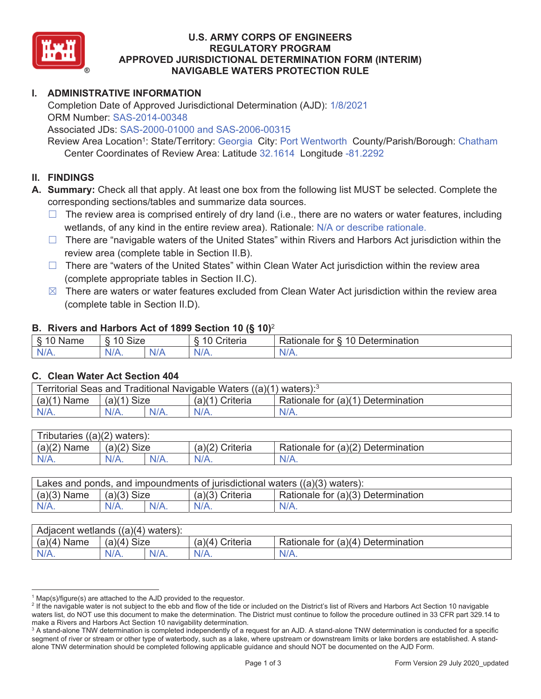

### **U.S. ARMY CORPS OF ENGINEERS REGULATORY PROGRAM APPROVED JURISDICTIONAL DETERMINATION FORM (INTERIM) NAVIGABLE WATERS PROTECTION RULE**

# **I. ADMINISTRATIVE INFORMATION**

Completion Date of Approved Jurisdictional Determination (AJD): 1/8/2021 ORM Number: SAS-2014-00348

Associated JDs: SAS-2000-01000 and SAS-2006-00315

Review Area Location<sup>1</sup>: State/Territory: Georgia City: Port Wentworth County/Parish/Borough: Chatham Center Coordinates of Review Area: Latitude 32.1614 Longitude -81.2292

# **II. FINDINGS**

 corresponding sections/tables and summarize data sources. **A. Summary:** Check all that apply. At least one box from the following list MUST be selected. Complete the

- $\Box$  The review area is comprised entirely of dry land (i.e., there are no waters or water features, including wetlands, of any kind in the entire review area). Rationale: N/A or describe rationale.
- $\Box$  There are "navigable waters of the United States" within Rivers and Harbors Act jurisdiction within the review area (complete table in Section II.B).
- $\Box$  There are "waters of the United States" within Clean Water Act jurisdiction within the review area (complete appropriate tables in Section II.C).
- $\boxtimes$  There are waters or water features excluded from Clean Water Act jurisdiction within the review area (complete table in Section II.D).

#### **B. Rivers and Harbors Act of 1899 Section 10 (§ 10)**<sup>2</sup>

| $\delta$<br>$\sim$<br>`me∶<br>−'Nar.<br>╰<br>٠J | Size<br>$\sqrt{2}$<br>∼ |           | $\overline{A}$ $\overline{C}$<br>`rıteria | $\overline{\phantom{0}}$<br>10<br>`ermination<br>for<br>≺ationale<br>Jeter |
|-------------------------------------------------|-------------------------|-----------|-------------------------------------------|----------------------------------------------------------------------------|
| $N/A$ .                                         | $N/A$ .                 | n<br>'N/A | $N/A$ .                                   | $\cdots$<br>INI.<br>VLO.                                                   |

#### **C. Clean Water Act Section 404**

| Territorial Seas and Traditional Navigable Waters $((a)(1)$ waters): <sup>3</sup> |               |  |                 |                                    |  |
|-----------------------------------------------------------------------------------|---------------|--|-----------------|------------------------------------|--|
| (a)(1)<br><b>Name</b>                                                             | $(a)(1)$ Size |  | (a)(1) Criteria | Rationale for (a)(1) Determination |  |
| N/A.                                                                              | N/A.          |  | $N/A$ .         | $N/A$ .                            |  |

| Tributaries $((a)(2)$ waters): |               |         |                 |                                    |  |  |
|--------------------------------|---------------|---------|-----------------|------------------------------------|--|--|
| $(a)(2)$ Name                  | $(a)(2)$ Size |         | (a)(2) Criteria | Rationale for (a)(2) Determination |  |  |
| $N/A$ .                        | N/A.          | $N/A$ . | $N/A$ .         | $N/A$ .                            |  |  |

| Lakes and ponds, and impoundments of jurisdictional waters $((a)(3)$ waters): |               |         |                   |                                    |  |
|-------------------------------------------------------------------------------|---------------|---------|-------------------|------------------------------------|--|
| $(a)(3)$ Name                                                                 | $(a)(3)$ Size |         | $(a)(3)$ Criteria | Rationale for (a)(3) Determination |  |
| $N/A$ .                                                                       | $N/A$ .       | $N/A$ . | $N/A$ .           | $N/A$ .                            |  |

| Adjacent wetlands $((a)(4)$ waters): |                       |         |                   |                                    |  |  |
|--------------------------------------|-----------------------|---------|-------------------|------------------------------------|--|--|
| $(a)(4)$ Name                        | (a)(4)<br><b>Size</b> |         | Criteria<br>(a)(4 | Rationale for (a)(4) Determination |  |  |
| $N/A$ .                              | $N/A$ .               | $N/A$ . | $N/A$ .           | $N/A$ .                            |  |  |

<sup>&</sup>lt;sup>1</sup> Map(s)/figure(s) are attached to the AJD provided to the requestor.<br><sup>2</sup> If the navigable water is not subject to the ebb and flow of the tide o

<sup>&</sup>lt;sup>2</sup> If the navigable water is not subject to the ebb and flow of the tide or included on the District's list of Rivers and Harbors Act Section 10 navigable waters list, do NOT use this document to make the determination. The District must continue to follow the procedure outlined in 33 CFR part 329.14 to make a Rivers and Harbors Act Section 10 navigability determination. 3

<sup>&</sup>lt;sup>3</sup> A stand-alone TNW determination is completed independently of a request for an AJD. A stand-alone TNW determination is conducted for a specific segment of river or stream or other type of waterbody, such as a lake, where upstream or downstream limits or lake borders are established. A standalone TNW determination should be completed following applicable guidance and should NOT be documented on the AJD Form.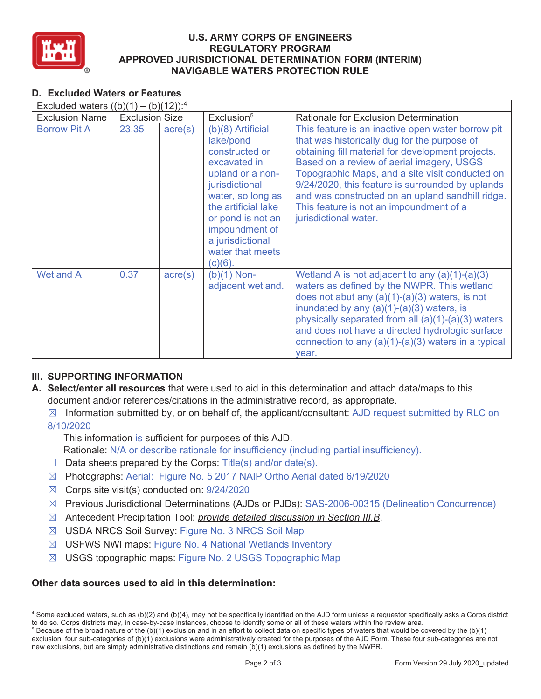

### **U.S. ARMY CORPS OF ENGINEERS REGULATORY PROGRAM APPROVED JURISDICTIONAL DETERMINATION FORM (INTERIM) NAVIGABLE WATERS PROTECTION RULE**

# **D. Excluded Waters or Features**

| Excluded waters $((b)(1) - (b)(12))$ : <sup>4</sup> |                       |                  |                                                                                                                                                                                                                                                   |                                                                                                                                                                                                                                                                                                                                                                                                                                    |  |
|-----------------------------------------------------|-----------------------|------------------|---------------------------------------------------------------------------------------------------------------------------------------------------------------------------------------------------------------------------------------------------|------------------------------------------------------------------------------------------------------------------------------------------------------------------------------------------------------------------------------------------------------------------------------------------------------------------------------------------------------------------------------------------------------------------------------------|--|
| <b>Exclusion Name</b>                               | <b>Exclusion Size</b> |                  | Exclusion <sup>5</sup>                                                                                                                                                                                                                            | <b>Rationale for Exclusion Determination</b>                                                                                                                                                                                                                                                                                                                                                                                       |  |
| <b>Borrow Pit A</b>                                 | 23.35                 | $\text{acre}(s)$ | $(b)(8)$ Artificial<br>lake/pond<br>constructed or<br>excavated in<br>upland or a non-<br>jurisdictional<br>water, so long as<br>the artificial lake<br>or pond is not an<br>impoundment of<br>a jurisdictional<br>water that meets<br>$(c)(6)$ . | This feature is an inactive open water borrow pit<br>that was historically dug for the purpose of<br>obtaining fill material for development projects.<br>Based on a review of aerial imagery, USGS<br>Topographic Maps, and a site visit conducted on<br>9/24/2020, this feature is surrounded by uplands<br>and was constructed on an upland sandhill ridge.<br>This feature is not an impoundment of a<br>jurisdictional water. |  |
| <b>Wetland A</b>                                    | 0.37                  | $\text{acre}(s)$ | $(b)(1)$ Non-<br>adjacent wetland.                                                                                                                                                                                                                | Wetland A is not adjacent to any $(a)(1)-(a)(3)$<br>waters as defined by the NWPR. This wetland<br>does not abut any $(a)(1)-(a)(3)$ waters, is not<br>inundated by any $(a)(1)-(a)(3)$ waters, is<br>physically separated from all $(a)(1)-(a)(3)$ waters<br>and does not have a directed hydrologic surface<br>connection to any $(a)(1)-(a)(3)$ waters in a typical<br>year.                                                    |  |

# **III. SUPPORTING INFORMATION**

- **A. Select/enter all resources** that were used to aid in this determination and attach data/maps to this document and/or references/citations in the administrative record, as appropriate.
	- $\boxtimes$  Information submitted by, or on behalf of, the applicant/consultant: AJD request submitted by RLC on 8/10/2020

This information is sufficient for purposes of this AJD.

- Rationale: N/A or describe rationale for insufficiency (including partial insufficiency).
- $\Box$  Data sheets prepared by the Corps: Title(s) and/or date(s).
- ܈ Photographs: Aerial: Figure No. 5 2017 NAIP Ortho Aerial dated 6/19/2020
- $\boxtimes$  Corps site visit(s) conducted on: 9/24/2020
- ܈ Previous Jurisdictional Determinations (AJDs or PJDs): SAS-2006-00315 (Delineation Concurrence)
- ܈ Antecedent Precipitation Tool: *provide detailed discussion in Section III.B*.
- ܈ USDA NRCS Soil Survey: Figure No. 3 NRCS Soil Map
- ܈ USFWS NWI maps: Figure No. 4 National Wetlands Inventory
- ܈ USGS topographic maps: Figure No. 2 USGS Topographic Map

# **Other data sources used to aid in this determination:**

<sup>4</sup> Some excluded waters, such as (b)(2) and (b)(4), may not be specifically identified on the AJD form unless a requestor specifically asks a Corps district to do so. Corps districts may, in case-by-case instances, choose to identify some or all of these waters within the review area. 5

 $5$  Because of the broad nature of the (b)(1) exclusion and in an effort to collect data on specific types of waters that would be covered by the (b)(1) exclusion, four sub-categories of (b)(1) exclusions were administratively created for the purposes of the AJD Form. These four sub-categories are not new exclusions, but are simply administrative distinctions and remain (b)(1) exclusions as defined by the NWPR.